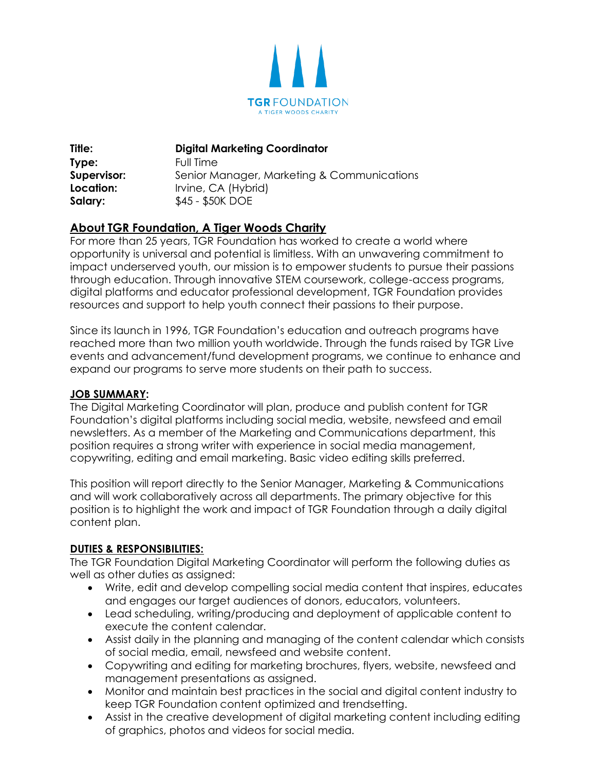

**Title: Digital Marketing Coordinator Type:** Full Time **Supervisor:** Senior Manager, Marketing & Communications **Location:** Irvine, CA (Hybrid) **Salary:**  $$45 - $50K$  DOE

# **About TGR Foundation, A Tiger Woods Charity**

For more than 25 years, TGR Foundation has worked to create a world where opportunity is universal and potential is limitless. With an unwavering commitment to impact underserved youth, our mission is to empower students to pursue their passions through education. Through innovative STEM coursework, college-access programs, digital platforms and educator professional development, TGR Foundation provides resources and support to help youth connect their passions to their purpose.

Since its launch in 1996, TGR Foundation's education and outreach programs have reached more than two million youth worldwide. Through the funds raised by TGR Live events and advancement/fund development programs, we continue to enhance and expand our programs to serve more students on their path to success.

# **JOB SUMMARY:**

The Digital Marketing Coordinator will plan, produce and publish content for TGR Foundation's digital platforms including social media, website, newsfeed and email newsletters. As a member of the Marketing and Communications department, this position requires a strong writer with experience in social media management, copywriting, editing and email marketing. Basic video editing skills preferred.

This position will report directly to the Senior Manager, Marketing & Communications and will work collaboratively across all departments. The primary objective for this position is to highlight the work and impact of TGR Foundation through a daily digital content plan.

# **DUTIES & RESPONSIBILITIES:**

The TGR Foundation Digital Marketing Coordinator will perform the following duties as well as other duties as assigned:

- Write, edit and develop compelling social media content that inspires, educates and engages our target audiences of donors, educators, volunteers.
- Lead scheduling, writing/producing and deployment of applicable content to execute the content calendar.
- Assist daily in the planning and managing of the content calendar which consists of social media, email, newsfeed and website content.
- Copywriting and editing for marketing brochures, flyers, website, newsfeed and management presentations as assigned.
- Monitor and maintain best practices in the social and digital content industry to keep TGR Foundation content optimized and trendsetting.
- Assist in the creative development of digital marketing content including editing of graphics, photos and videos for social media.